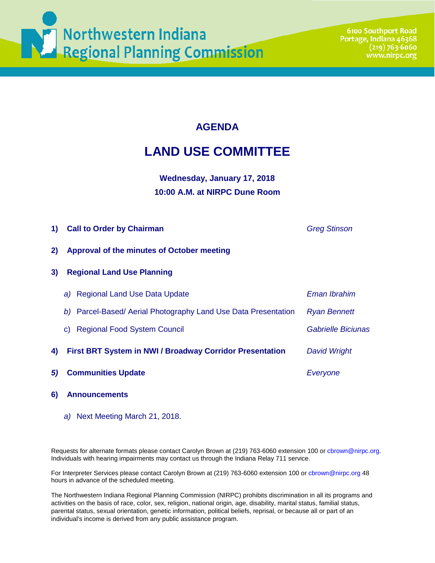

## **AGENDA**

# **LAND USE COMMITTEE**

### **Wednesday, January 17, 2018 10:00 A.M. at NIRPC Dune Room**

| 1) | <b>Call to Order by Chairman</b>                                  | <b>Greg Stinson</b>       |
|----|-------------------------------------------------------------------|---------------------------|
| 2) | Approval of the minutes of October meeting                        |                           |
| 3) | <b>Regional Land Use Planning</b>                                 |                           |
|    | <b>Regional Land Use Data Update</b><br>a)                        | Eman Ibrahim              |
|    | Parcel-Based/ Aerial Photography Land Use Data Presentation<br>b) | <b>Ryan Bennett</b>       |
|    | <b>Regional Food System Council</b><br>C)                         | <b>Gabrielle Biciunas</b> |
| 4) | <b>First BRT System in NWI / Broadway Corridor Presentation</b>   | <b>David Wright</b>       |
| 5) | <b>Communities Update</b>                                         | Everyone                  |
|    |                                                                   |                           |

#### **6) Announcements**

*a)* Next Meeting March 21, 2018.

Requests for alternate formats please contact Carolyn Brown at (219) 763-6060 extension 100 or cbrown@nirpc.org. Individuals with hearing impairments may contact us through the Indiana Relay 711 service.

For Interpreter Services please contact Carolyn Brown at (219) 763-6060 extension 100 or cbrown@nirpc.org 48 hours in advance of the scheduled meeting.

The Northwestern Indiana Regional Planning Commission (NIRPC) prohibits discrimination in all its programs and activities on the basis of race, color, sex, religion, national origin, age, disability, marital status, familial status, parental status, sexual orientation, genetic information, political beliefs, reprisal, or because all or part of an individual's income is derived from any public assistance program.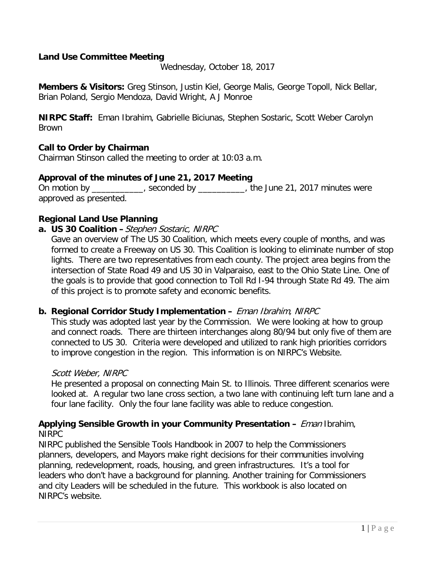#### **Land Use Committee Meeting**

Wednesday, October 18, 2017

**Members & Visitors:** Greg Stinson, Justin Kiel, George Malis, George Topoll, Nick Bellar, Brian Poland, Sergio Mendoza, David Wright, A J Monroe

**NIRPC Staff:** Eman Ibrahim, Gabrielle Biciunas, Stephen Sostaric, Scott Weber Carolyn Brown

#### **Call to Order by Chairman**

Chairman Stinson called the meeting to order at 10:03 a.m.

#### **Approval of the minutes of June 21, 2017 Meeting**

On motion by \_\_\_\_\_\_\_\_\_\_\_, seconded by \_\_\_\_\_\_\_\_\_\_, the June 21, 2017 minutes were approved as presented.

#### **Regional Land Use Planning**

**a. US 30 Coalition –**Stephen Sostaric, NIRPC

Gave an overview of The US 30 Coalition, which meets every couple of months, and was formed to create a Freeway on US 30. This Coalition is looking to eliminate number of stop lights. There are two representatives from each county. The project area begins from the intersection of State Road 49 and US 30 in Valparaiso, east to the Ohio State Line. One of the goals is to provide that good connection to Toll Rd I-94 through State Rd 49. The aim of this project is to promote safety and economic benefits.

#### **b. Regional Corridor Study Implementation –** Eman Ibrahim, NIRPC

This study was adopted last year by the Commission. We were looking at how to group and connect roads. There are thirteen interchanges along 80/94 but only five of them are connected to US 30. Criteria were developed and utilized to rank high priorities corridors to improve congestion in the region. This information is on NIRPC's Website.

#### Scott Weber, NIRPC

He presented a proposal on connecting Main St. to Illinois. Three different scenarios were looked at. A regular two lane cross section, a two lane with continuing left turn lane and a four lane facility. Only the four lane facility was able to reduce congestion.

#### **Applying Sensible Growth in your Community Presentation –** Eman Ibrahim, NIRPC

NIRPC published the Sensible Tools Handbook in 2007 to help the Commissioners planners, developers, and Mayors make right decisions for their communities involving planning, redevelopment, roads, housing, and green infrastructures. It's a tool for leaders who don't have a background for planning. Another training for Commissioners and city Leaders will be scheduled in the future. This workbook is also located on NIRPC's website.